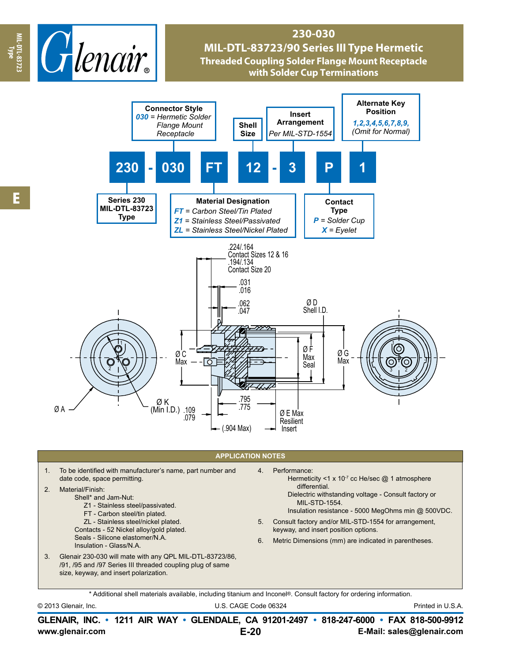

## **230-030 MIL-DTL-83723/90 Series III Type Hermetic Threaded Coupling Solder Flange Mount Receptacle with Solder Cup Terminations**



## **APPLICATION NOTES**

1. To be identified with manufacturer's name, part number and date code, space permitting.

## 2. Material/Finish:

- Shell\* and Jam-Nut:
	- Z1 Stainless steel/passivated.
	- FT Carbon steel/tin plated. ZL - Stainless steel/nickel plated.
	- Contacts 52 Nickel alloy/gold plated.
	- Seals Silicone elastomer/N.A.
	- Insulation Glass/N.A.
- 3. Glenair 230-030 will mate with any QPL MIL-DTL-83723/86, /91, /95 and /97 Series III threaded coupling plug of same size, keyway, and insert polarization.
- 4. Performance:
	- Hermeticity <1 x 10<sup>-7</sup> cc He/sec  $@$  1 atmosphere differential.
	- Dielectric withstanding voltage Consult factory or MIL-STD-1554.
	- Insulation resistance 5000 MegOhms min @ 500VDC.
- 5. Consult factory and/or MIL-STD-1554 for arrangement, keyway, and insert position options.
- 6. Metric Dimensions (mm) are indicated in parentheses.

\* Additional shell materials available, including titanium and Inconel®. Consult factory for ordering information.

```
© 2013 Glenair, Inc. U.S. CAGE Code 06324 Printed in U.S.A.
```
**www.glenair.com E-Mail: sales@glenair.com GLENAIR, INC. • 1211 AIR WAY • GLENDALE, CA 91201-2497 • 818-247-6000 • FAX 818-500-9912 E-20**

**Type**